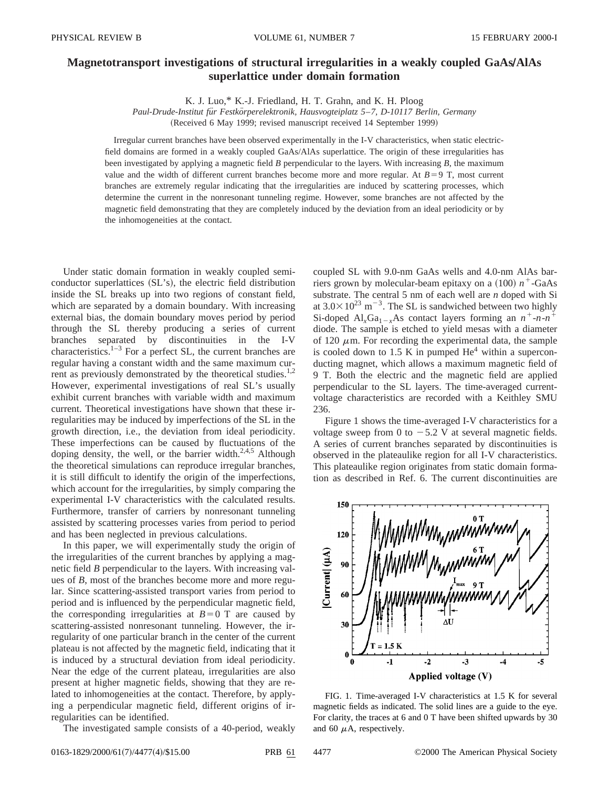## **Magnetotransport investigations of structural irregularities in a weakly coupled GaAs/AlAs superlattice under domain formation**

K. J. Luo,\* K.-J. Friedland, H. T. Grahn, and K. H. Ploog

*Paul-Drude-Institut fu¨r Festko¨rperelektronik, Hausvogteiplatz 5*–*7, D-10117 Berlin, Germany*

(Received 6 May 1999; revised manuscript received 14 September 1999)

Irregular current branches have been observed experimentally in the I-V characteristics, when static electricfield domains are formed in a weakly coupled GaAs/AlAs superlattice. The origin of these irregularities has been investigated by applying a magnetic field *B* perpendicular to the layers. With increasing *B*, the maximum value and the width of different current branches become more and more regular. At  $B=9$  T, most current branches are extremely regular indicating that the irregularities are induced by scattering processes, which determine the current in the nonresonant tunneling regime. However, some branches are not affected by the magnetic field demonstrating that they are completely induced by the deviation from an ideal periodicity or by the inhomogeneities at the contact.

Under static domain formation in weakly coupled semiconductor superlattices  $(SL's)$ , the electric field distribution inside the SL breaks up into two regions of constant field, which are separated by a domain boundary. With increasing external bias, the domain boundary moves period by period through the SL thereby producing a series of current branches separated by discontinuities in the I-V characteristics.<sup>1–3</sup> For a perfect SL, the current branches are regular having a constant width and the same maximum current as previously demonstrated by the theoretical studies.<sup>1,2</sup> However, experimental investigations of real SL's usually exhibit current branches with variable width and maximum current. Theoretical investigations have shown that these irregularities may be induced by imperfections of the SL in the growth direction, i.e., the deviation from ideal periodicity. These imperfections can be caused by fluctuations of the doping density, the well, or the barrier width. $2,4,5$  Although the theoretical simulations can reproduce irregular branches, it is still difficult to identify the origin of the imperfections, which account for the irregularities, by simply comparing the experimental I-V characteristics with the calculated results. Furthermore, transfer of carriers by nonresonant tunneling assisted by scattering processes varies from period to period and has been neglected in previous calculations.

In this paper, we will experimentally study the origin of the irregularities of the current branches by applying a magnetic field *B* perpendicular to the layers. With increasing values of *B*, most of the branches become more and more regular. Since scattering-assisted transport varies from period to period and is influenced by the perpendicular magnetic field, the corresponding irregularities at  $B=0$  T are caused by scattering-assisted nonresonant tunneling. However, the irregularity of one particular branch in the center of the current plateau is not affected by the magnetic field, indicating that it is induced by a structural deviation from ideal periodicity. Near the edge of the current plateau, irregularities are also present at higher magnetic fields, showing that they are related to inhomogeneities at the contact. Therefore, by applying a perpendicular magnetic field, different origins of irregularities can be identified.

The investigated sample consists of a 40-period, weakly

coupled SL with 9.0-nm GaAs wells and 4.0-nm AlAs barriers grown by molecular-beam epitaxy on a  $(100) n^+$ -GaAs substrate. The central 5 nm of each well are *n* doped with Si at  $3.0\times10^{23}$  m<sup>-3</sup>. The SL is sandwiched between two highly Si-doped Al<sub>x</sub>Ga<sub>1-*x*</sub>As contact layers forming an  $n^+$ -*n*- $n^+$ diode. The sample is etched to yield mesas with a diameter of 120  $\mu$ m. For recording the experimental data, the sample is cooled down to 1.5 K in pumped  $He<sup>4</sup>$  within a superconducting magnet, which allows a maximum magnetic field of 9 T. Both the electric and the magnetic field are applied perpendicular to the SL layers. The time-averaged currentvoltage characteristics are recorded with a Keithley SMU 236.

Figure 1 shows the time-averaged I-V characteristics for a voltage sweep from 0 to  $-5.2$  V at several magnetic fields. A series of current branches separated by discontinuities is observed in the plateaulike region for all I-V characteristics. This plateaulike region originates from static domain formation as described in Ref. 6. The current discontinuities are



FIG. 1. Time-averaged I-V characteristics at 1.5 K for several magnetic fields as indicated. The solid lines are a guide to the eye. For clarity, the traces at 6 and 0 T have been shifted upwards by 30 and 60  $\mu$ A, respectively.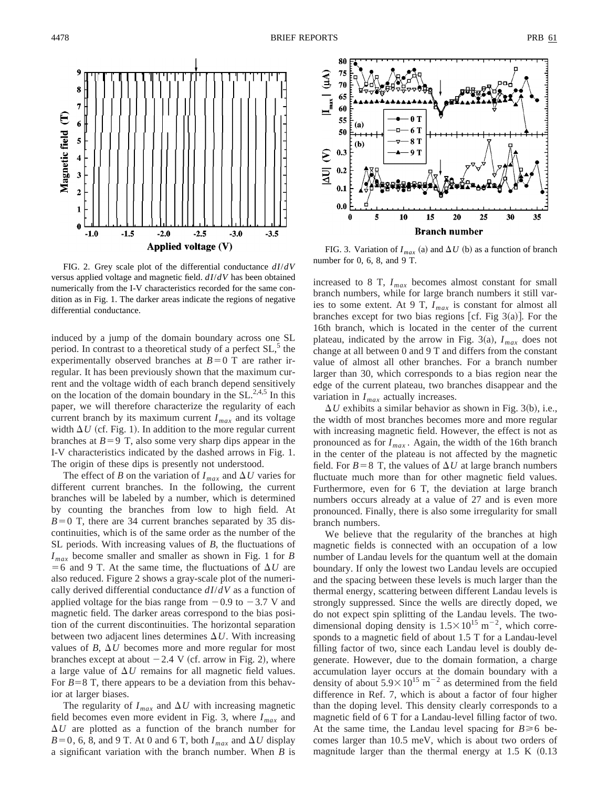

FIG. 2. Grey scale plot of the differential conductance *dI*/*dV* versus applied voltage and magnetic field. *dI*/*dV* has been obtained numerically from the I-V characteristics recorded for the same condition as in Fig. 1. The darker areas indicate the regions of negative differential conductance.

induced by a jump of the domain boundary across one SL period. In contrast to a theoretical study of a perfect  $SL<sub>2</sub>$ <sup>5</sup> the experimentally observed branches at  $B=0$  T are rather irregular. It has been previously shown that the maximum current and the voltage width of each branch depend sensitively on the location of the domain boundary in the  $SL^{2,4,5}$  In this paper, we will therefore characterize the regularity of each current branch by its maximum current  $I_{max}$  and its voltage width  $\Delta U$  (cf. Fig. 1). In addition to the more regular current branches at  $B=9$  T, also some very sharp dips appear in the I-V characteristics indicated by the dashed arrows in Fig. 1. The origin of these dips is presently not understood.

The effect of *B* on the variation of  $I_{max}$  and  $\Delta U$  varies for different current branches. In the following, the current branches will be labeled by a number, which is determined by counting the branches from low to high field. At  $B=0$  T, there are 34 current branches separated by 35 discontinuities, which is of the same order as the number of the SL periods. With increasing values of *B*, the fluctuations of *Imax* become smaller and smaller as shown in Fig. 1 for *B*  $=$  6 and 9 T. At the same time, the fluctuations of  $\Delta U$  are also reduced. Figure 2 shows a gray-scale plot of the numerically derived differential conductance *dI*/*dV* as a function of applied voltage for the bias range from  $-0.9$  to  $-3.7$  V and magnetic field. The darker areas correspond to the bias position of the current discontinuities. The horizontal separation between two adjacent lines determines  $\Delta U$ . With increasing values of *B*,  $\Delta U$  becomes more and more regular for most branches except at about  $-2.4$  V (cf. arrow in Fig. 2), where a large value of  $\Delta U$  remains for all magnetic field values. For  $B=8$  T, there appears to be a deviation from this behavior at larger biases.

The regularity of  $I_{max}$  and  $\Delta U$  with increasing magnetic field becomes even more evident in Fig. 3, where *Imax* and  $\Delta U$  are plotted as a function of the branch number for  $B=0$ , 6, 8, and 9 T. At 0 and 6 T, both  $I_{max}$  and  $\Delta U$  display a significant variation with the branch number. When *B* is



FIG. 3. Variation of  $I_{max}$  (a) and  $\Delta U$  (b) as a function of branch number for 0, 6, 8, and 9 T.

increased to 8 T, *Imax* becomes almost constant for small branch numbers, while for large branch numbers it still varies to some extent. At 9 T, *Imax* is constant for almost all branches except for two bias regions [cf. Fig  $3(a)$ ]. For the 16th branch, which is located in the center of the current plateau, indicated by the arrow in Fig. 3(a),  $I_{max}$  does not change at all between 0 and 9 T and differs from the constant value of almost all other branches. For a branch number larger than 30, which corresponds to a bias region near the edge of the current plateau, two branches disappear and the variation in *Imax* actually increases.

 $\Delta U$  exhibits a similar behavior as shown in Fig. 3(b), i.e., the width of most branches becomes more and more regular with increasing magnetic field. However, the effect is not as pronounced as for  $I_{max}$ . Again, the width of the 16th branch in the center of the plateau is not affected by the magnetic field. For  $B=8$  T, the values of  $\Delta U$  at large branch numbers fluctuate much more than for other magnetic field values. Furthermore, even for 6 T, the deviation at large branch numbers occurs already at a value of 27 and is even more pronounced. Finally, there is also some irregularity for small branch numbers.

We believe that the regularity of the branches at high magnetic fields is connected with an occupation of a low number of Landau levels for the quantum well at the domain boundary. If only the lowest two Landau levels are occupied and the spacing between these levels is much larger than the thermal energy, scattering between different Landau levels is strongly suppressed. Since the wells are directly doped, we do not expect spin splitting of the Landau levels. The twodimensional doping density is  $1.5 \times 10^{15}$  m<sup>-2</sup>, which corresponds to a magnetic field of about 1.5 T for a Landau-level filling factor of two, since each Landau level is doubly degenerate. However, due to the domain formation, a charge accumulation layer occurs at the domain boundary with a density of about  $5.9 \times 10^{15}$  m<sup>-2</sup> as determined from the field difference in Ref. 7, which is about a factor of four higher than the doping level. This density clearly corresponds to a magnetic field of 6 T for a Landau-level filling factor of two. At the same time, the Landau level spacing for  $B \ge 6$  becomes larger than 10.5 meV, which is about two orders of magnitude larger than the thermal energy at  $1.5 K (0.13)$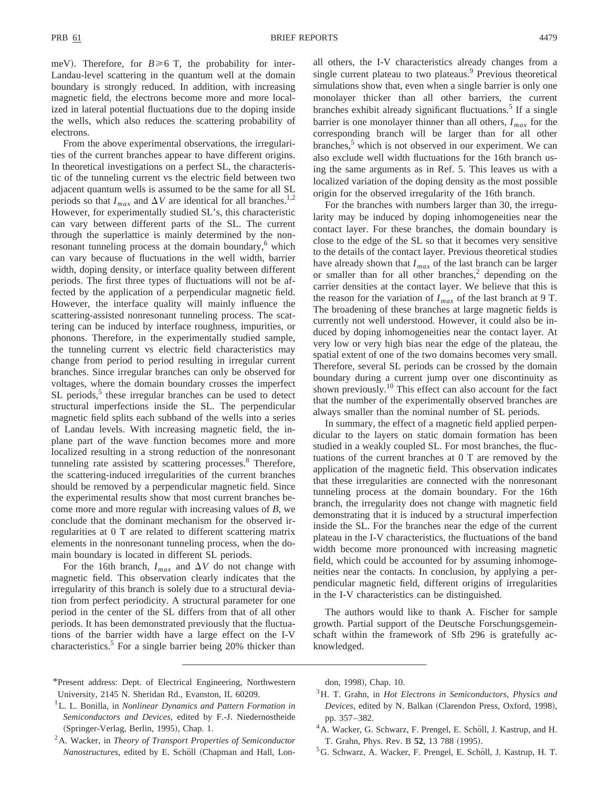meV). Therefore, for  $B \ge 6$  T, the probability for inter-Landau-level scattering in the quantum well at the domain boundary is strongly reduced. In addition, with increasing magnetic field, the electrons become more and more localized in lateral potential fluctuations due to the doping inside the wells, which also reduces the scattering probability of electrons.

From the above experimental observations, the irregularities of the current branches appear to have different origins. In theoretical investigations on a perfect SL, the characteristic of the tunneling current vs the electric field between two adjacent quantum wells is assumed to be the same for all SL periods so that  $I_{max}$  and  $\Delta V$  are identical for all branches.<sup>1,2</sup> However, for experimentally studied SL's, this characteristic can vary between different parts of the SL. The current through the superlattice is mainly determined by the nonresonant tunneling process at the domain boundary,<sup>6</sup> which can vary because of fluctuations in the well width, barrier width, doping density, or interface quality between different periods. The first three types of fluctuations will not be affected by the application of a perpendicular magnetic field. However, the interface quality will mainly influence the scattering-assisted nonresonant tunneling process. The scattering can be induced by interface roughness, impurities, or phonons. Therefore, in the experimentally studied sample, the tunneling current vs electric field characteristics may change from period to period resulting in irregular current branches. Since irregular branches can only be observed for voltages, where the domain boundary crosses the imperfect  $SL$  periods,<sup>5</sup> these irregular branches can be used to detect structural imperfections inside the SL. The perpendicular magnetic field splits each subband of the wells into a series of Landau levels. With increasing magnetic field, the inplane part of the wave function becomes more and more localized resulting in a strong reduction of the nonresonant tunneling rate assisted by scattering processes.<sup>8</sup> Therefore, the scattering-induced irregularities of the current branches should be removed by a perpendicular magnetic field. Since the experimental results show that most current branches become more and more regular with increasing values of *B*, we conclude that the dominant mechanism for the observed irregularities at 0 T are related to different scattering matrix elements in the nonresonant tunneling process, when the domain boundary is located in different SL periods.

For the 16th branch,  $I_{max}$  and  $\Delta V$  do not change with magnetic field. This observation clearly indicates that the irregularity of this branch is solely due to a structural deviation from perfect periodicity. A structural parameter for one period in the center of the SL differs from that of all other periods. It has been demonstrated previously that the fluctuations of the barrier width have a large effect on the I-V characteristics.5 For a single barrier being 20% thicker than all others, the I-V characteristics already changes from a single current plateau to two plateaus.<sup>9</sup> Previous theoretical simulations show that, even when a single barrier is only one monolayer thicker than all other barriers, the current branches exhibit already significant fluctuations.<sup>5</sup> If a single barrier is one monolayer thinner than all others,  $I_{max}$  for the corresponding branch will be larger than for all other branches,<sup>5</sup> which is not observed in our experiment. We can also exclude well width fluctuations for the 16th branch using the same arguments as in Ref. 5. This leaves us with a localized variation of the doping density as the most possible origin for the observed irregularity of the 16th branch.

For the branches with numbers larger than 30, the irregularity may be induced by doping inhomogeneities near the contact layer. For these branches, the domain boundary is close to the edge of the SL so that it becomes very sensitive to the details of the contact layer. Previous theoretical studies have already shown that  $I_{max}$  of the last branch can be larger or smaller than for all other branches, $\frac{2}{3}$  depending on the carrier densities at the contact layer. We believe that this is the reason for the variation of  $I_{max}$  of the last branch at 9 T. The broadening of these branches at large magnetic fields is currently not well understood. However, it could also be induced by doping inhomogeneities near the contact layer. At very low or very high bias near the edge of the plateau, the spatial extent of one of the two domains becomes very small. Therefore, several SL periods can be crossed by the domain boundary during a current jump over one discontinuity as shown previously.10 This effect can also account for the fact that the number of the experimentally observed branches are always smaller than the nominal number of SL periods.

In summary, the effect of a magnetic field applied perpendicular to the layers on static domain formation has been studied in a weakly coupled SL. For most branches, the fluctuations of the current branches at 0 T are removed by the application of the magnetic field. This observation indicates that these irregularities are connected with the nonresonant tunneling process at the domain boundary. For the 16th branch, the irregularity does not change with magnetic field demonstrating that it is induced by a structural imperfection inside the SL. For the branches near the edge of the current plateau in the I-V characteristics, the fluctuations of the band width become more pronounced with increasing magnetic field, which could be accounted for by assuming inhomogeneities near the contacts. In conclusion, by applying a perpendicular magnetic field, different origins of irregularities in the I-V characteristics can be distinguished.

The authors would like to thank A. Fischer for sample growth. Partial support of the Deutsche Forschungsgemeinschaft within the framework of Sfb 296 is gratefully acknowledged.

- \*Present address: Dept. of Electrical Engineering, Northwestern University, 2145 N. Sheridan Rd., Evanston, IL 60209.
- 1L. L. Bonilla, in *Nonlinear Dynamics and Pattern Formation in Semiconductors and Devices*, edited by F.-J. Niedernostheide (Springer-Verlag, Berlin, 1995), Chap. 1.
- 2A. Wacker, in *Theory of Transport Properties of Semiconductor Nanostructures*, edited by E. Schöll (Chapman and Hall, Lon-

don, 1998), Chap. 10.

- 3H. T. Grahn, in *Hot Electrons in Semiconductors, Physics and Devices*, edited by N. Balkan (Clarendon Press, Oxford, 1998), pp. 357–382.
- <sup>4</sup> A. Wacker, G. Schwarz, F. Prengel, E. Schöll, J. Kastrup, and H. T. Grahn, Phys. Rev. B 52, 13 788 (1995).
- ${}^5G$ . Schwarz, A. Wacker, F. Prengel, E. Schöll, J. Kastrup, H. T.